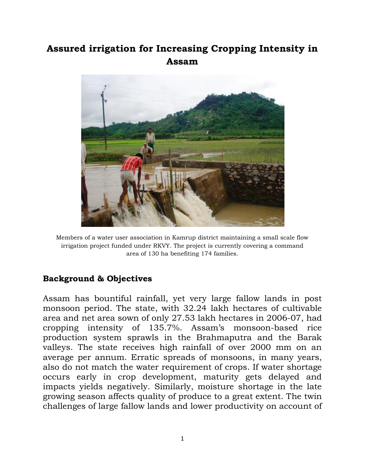## **Assured irrigation for Increasing Cropping Intensity in Assam**



Members of a water user association in Kamrup district maintaining a small scale flow irrigation project funded under RKVY. The project is currently covering a command area of 130 ha benefiting 174 families.

## **Background & Objectives**

Assam has bountiful rainfall, yet very large fallow lands in post monsoon period. The state, with 32.24 lakh hectares of cultivable area and net area sown of only 27.53 lakh hectares in 2006-07, had cropping intensity of 135.7%. Assam"s monsoon-based rice production system sprawls in the Brahmaputra and the Barak valleys. The state receives high rainfall of over 2000 mm on an average per annum. Erratic spreads of monsoons, in many years, also do not match the water requirement of crops. If water shortage occurs early in crop development, maturity gets delayed and impacts yields negatively. Similarly, moisture shortage in the late growing season affects quality of produce to a great extent. The twin challenges of large fallow lands and lower productivity on account of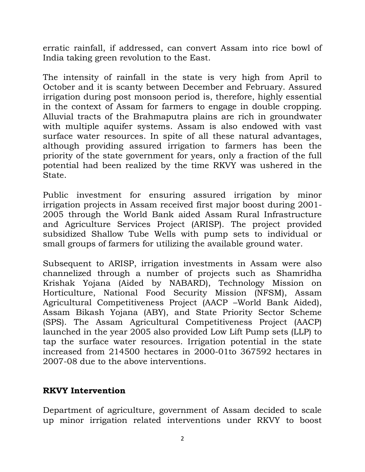erratic rainfall, if addressed, can convert Assam into rice bowl of India taking green revolution to the East.

The intensity of rainfall in the state is very high from April to October and it is scanty between December and February. Assured irrigation during post monsoon period is, therefore, highly essential in the context of Assam for farmers to engage in double cropping. Alluvial tracts of the Brahmaputra plains are rich in groundwater with multiple aquifer systems. Assam is also endowed with vast surface water resources. In spite of all these natural advantages, although providing assured irrigation to farmers has been the priority of the state government for years, only a fraction of the full potential had been realized by the time RKVY was ushered in the State.

Public investment for ensuring assured irrigation by minor irrigation projects in Assam received first major boost during 2001- 2005 through the World Bank aided Assam Rural Infrastructure and Agriculture Services Project (ARISP). The project provided subsidized Shallow Tube Wells with pump sets to individual or small groups of farmers for utilizing the available ground water.

Subsequent to ARISP, irrigation investments in Assam were also channelized through a number of projects such as Shamridha Krishak Yojana (Aided by NABARD), Technology Mission on Horticulture, National Food Security Mission (NFSM), Assam Agricultural Competitiveness Project (AACP –World Bank Aided), Assam Bikash Yojana (ABY), and State Priority Sector Scheme (SPS). The Assam Agricultural Competitiveness Project (AACP) launched in the year 2005 also provided Low Lift Pump sets (LLP) to tap the surface water resources. Irrigation potential in the state increased from 214500 hectares in 2000-01to 367592 hectares in 2007-08 due to the above interventions.

## **RKVY Intervention**

Department of agriculture, government of Assam decided to scale up minor irrigation related interventions under RKVY to boost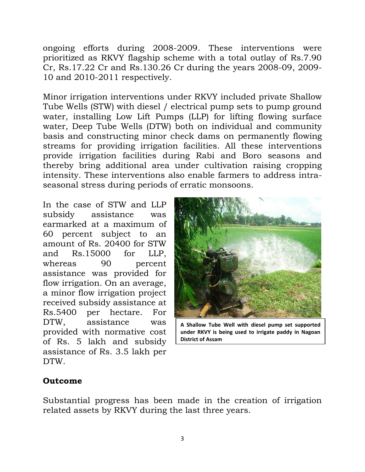ongoing efforts during 2008-2009. These interventions were prioritized as RKVY flagship scheme with a total outlay of Rs.7.90 Cr, Rs.17.22 Cr and Rs.130.26 Cr during the years 2008-09, 2009- 10 and 2010-2011 respectively.

Minor irrigation interventions under RKVY included private Shallow Tube Wells (STW) with diesel / electrical pump sets to pump ground water, installing Low Lift Pumps (LLP) for lifting flowing surface water, Deep Tube Wells (DTW) both on individual and community basis and constructing minor check dams on permanently flowing streams for providing irrigation facilities. All these interventions provide irrigation facilities during Rabi and Boro seasons and thereby bring additional area under cultivation raising cropping intensity. These interventions also enable farmers to address intraseasonal stress during periods of erratic monsoons.

In the case of STW and LLP subsidy assistance was earmarked at a maximum of 60 percent subject to an amount of Rs. 20400 for STW and Rs.15000 for LLP, whereas 90 percent assistance was provided for flow irrigation. On an average, a minor flow irrigation project received subsidy assistance at Rs.5400 per hectare. For DTW, assistance was provided with normative cost of Rs. 5 lakh and subsidy assistance of Rs. 3.5 lakh per DTW.



**A Shallow Tube Well with diesel pump set supported under RKVY is being used to irrigate paddy in Nagoan District of Assam**

## **Outcome**

Substantial progress has been made in the creation of irrigation related assets by RKVY during the last three years.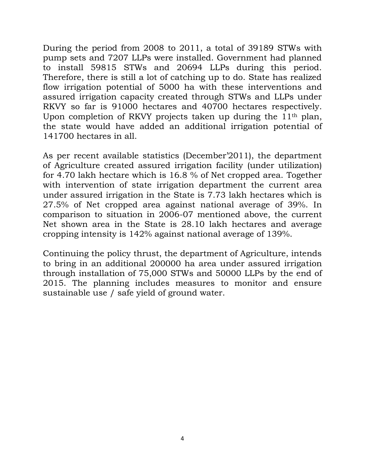During the period from 2008 to 2011, a total of 39189 STWs with pump sets and 7207 LLPs were installed. Government had planned to install 59815 STWs and 20694 LLPs during this period. Therefore, there is still a lot of catching up to do. State has realized flow irrigation potential of 5000 ha with these interventions and assured irrigation capacity created through STWs and LLPs under RKVY so far is 91000 hectares and 40700 hectares respectively. Upon completion of RKVY projects taken up during the 11th plan, the state would have added an additional irrigation potential of 141700 hectares in all.

As per recent available statistics (December"2011), the department of Agriculture created assured irrigation facility (under utilization) for 4.70 lakh hectare which is 16.8 % of Net cropped area. Together with intervention of state irrigation department the current area under assured irrigation in the State is 7.73 lakh hectares which is 27.5% of Net cropped area against national average of 39%. In comparison to situation in 2006-07 mentioned above, the current Net shown area in the State is 28.10 lakh hectares and average cropping intensity is 142% against national average of 139%.

Continuing the policy thrust, the department of Agriculture, intends to bring in an additional 200000 ha area under assured irrigation through installation of 75,000 STWs and 50000 LLPs by the end of 2015. The planning includes measures to monitor and ensure sustainable use / safe yield of ground water.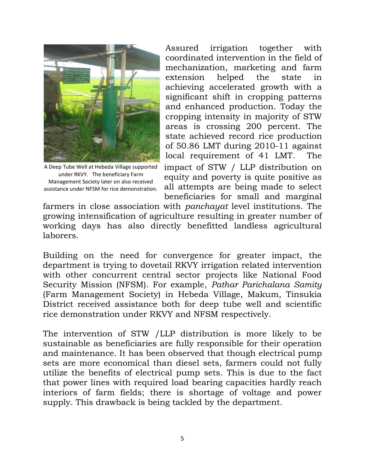

A Deep Tube Well at Hebeda Village supported under RKVY. The beneficiary Farm Management Society later on also received assistance under NFSM for rice demonstration*.*

Assured irrigation together with coordinated intervention in the field of mechanization, marketing and farm extension helped the state in achieving accelerated growth with a significant shift in cropping patterns and enhanced production. Today the cropping intensity in majority of STW areas is crossing 200 percent. The state achieved record rice production of 50.86 LMT during 2010-11 against local requirement of 41 LMT. The impact of STW / LLP distribution on equity and poverty is quite positive as all attempts are being made to select beneficiaries for small and marginal

farmers in close association with *panchayat* level institutions. The growing intensification of agriculture resulting in greater number of working days has also directly benefitted landless agricultural laborers.

Building on the need for convergence for greater impact, the department is trying to dovetail RKVY irrigation related intervention with other concurrent central sector projects like National Food Security Mission (NFSM). For example, *Pathar Parichalana Samity* (Farm Management Society) in Hebeda Village, Makum, Tinsukia District received assistance both for deep tube well and scientific rice demonstration under RKVY and NFSM respectively.

The intervention of STW /LLP distribution is more likely to be sustainable as beneficiaries are fully responsible for their operation and maintenance. It has been observed that though electrical pump sets are more economical than diesel sets, farmers could not fully utilize the benefits of electrical pump sets. This is due to the fact that power lines with required load bearing capacities hardly reach interiors of farm fields; there is shortage of voltage and power supply. This drawback is being tackled by the department.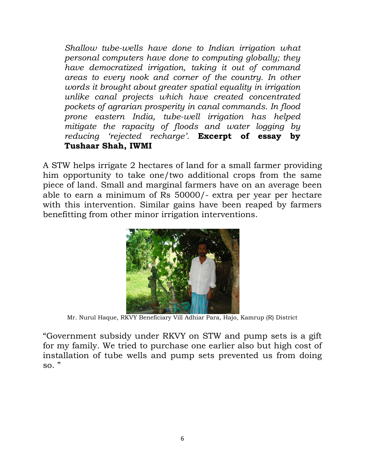*Shallow tube-wells have done to Indian irrigation what personal computers have done to computing globally; they have democratized irrigation, taking it out of command areas to every nook and corner of the country. In other words it brought about greater spatial equality in irrigation unlike canal projects which have created concentrated pockets of agrarian prosperity in canal commands. In flood prone eastern India, tube-well irrigation has helped mitigate the rapacity of floods and water logging by reducing 'rejected recharge'.* **Excerpt of essay by Tushaar Shah, IWMI**

A STW helps irrigate 2 hectares of land for a small farmer providing him opportunity to take one/two additional crops from the same piece of land. Small and marginal farmers have on an average been able to earn a minimum of Rs 50000/- extra per year per hectare with this intervention. Similar gains have been reaped by farmers benefitting from other minor irrigation interventions.



Mr. Nurul Haque, RKVY Beneficiary Vill Adhiar Para, Hajo, Kamrup (R) District

"Government subsidy under RKVY on STW and pump sets is a gift for my family. We tried to purchase one earlier also but high cost of installation of tube wells and pump sets prevented us from doing so."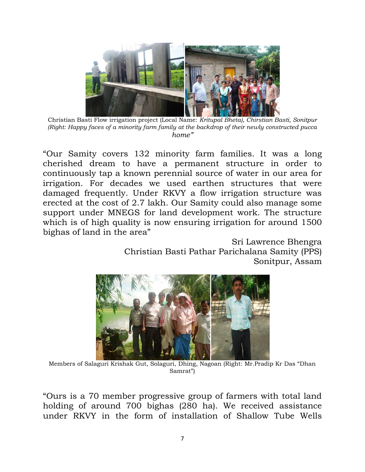

Christian Basti Flow irrigation project (Local Name: *Kritupal Bheta), Chirstian Basti, Sonitpur (Right: Happy faces of a minority farm family at the backdrop of their newly constructed pucca home"*

"Our Samity covers 132 minority farm families. It was a long cherished dream to have a permanent structure in order to continuously tap a known perennial source of water in our area for irrigation. For decades we used earthen structures that were damaged frequently. Under RKVY a flow irrigation structure was erected at the cost of 2.7 lakh. Our Samity could also manage some support under MNEGS for land development work. The structure which is of high quality is now ensuring irrigation for around 1500 bighas of land in the area"

> Sri Lawrence Bhengra Christian Basti Pathar Parichalana Samity (PPS) Sonitpur, Assam



Members of Salaguri Krishak Gut, Solaguri, Dhing, Nagoan (Right: Mr.Pradip Kr Das "Dhan Samrat")

"Ours is a 70 member progressive group of farmers with total land holding of around 700 bighas (280 ha). We received assistance under RKVY in the form of installation of Shallow Tube Wells